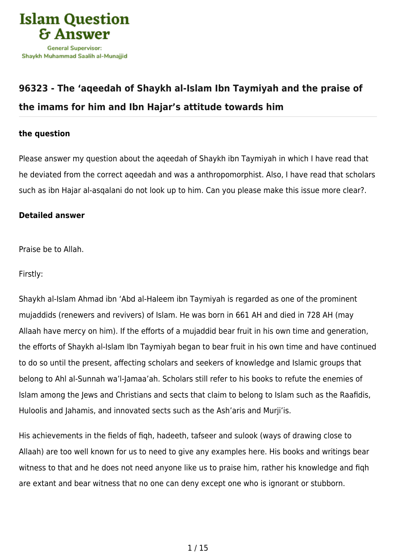

# **[96323 - The 'aqeedah of Shaykh al-Islam Ibn Taymiyah and the praise of](https://islamqa.com/en/answers/96323/the-aqeedah-of-shaykh-al-islam-ibn-taymiyah-and-the-praise-of-the-imams-for-him-and-ibn-hajars-attitude-towards-him) [the imams for him and Ibn Hajar's attitude towards him](https://islamqa.com/en/answers/96323/the-aqeedah-of-shaykh-al-islam-ibn-taymiyah-and-the-praise-of-the-imams-for-him-and-ibn-hajars-attitude-towards-him)**

### **the question**

Please answer my question about the aqeedah of Shaykh ibn Taymiyah in which I have read that he deviated from the correct aqeedah and was a anthropomorphist. Also, I have read that scholars such as ibn Hajar al-asqalani do not look up to him. Can you please make this issue more clear?.

#### **Detailed answer**

Praise be to Allah.

Firstly:

Shaykh al-Islam Ahmad ibn 'Abd al-Haleem ibn Taymiyah is regarded as one of the prominent mujaddids (renewers and revivers) of Islam. He was born in 661 AH and died in 728 AH (may Allaah have mercy on him). If the efforts of a mujaddid bear fruit in his own time and generation, the efforts of Shaykh al-Islam Ibn Taymiyah began to bear fruit in his own time and have continued to do so until the present, affecting scholars and seekers of knowledge and Islamic groups that belong to Ahl al-Sunnah wa'l-Jamaa'ah. Scholars still refer to his books to refute the enemies of Islam among the Jews and Christians and sects that claim to belong to Islam such as the Raafidis, Huloolis and Jahamis, and innovated sects such as the Ash'aris and Murji'is.

His achievements in the fields of fiqh, hadeeth, tafseer and sulook (ways of drawing close to Allaah) are too well known for us to need to give any examples here. His books and writings bear witness to that and he does not need anyone like us to praise him, rather his knowledge and fiqh are extant and bear witness that no one can deny except one who is ignorant or stubborn.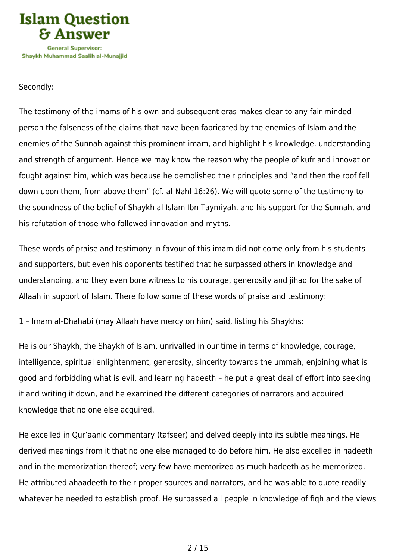

## Secondly:

The testimony of the imams of his own and subsequent eras makes clear to any fair-minded person the falseness of the claims that have been fabricated by the enemies of Islam and the enemies of the Sunnah against this prominent imam, and highlight his knowledge, understanding and strength of argument. Hence we may know the reason why the people of kufr and innovation fought against him, which was because he demolished their principles and "and then the roof fell down upon them, from above them" (cf. al-Nahl 16:26). We will quote some of the testimony to the soundness of the belief of Shaykh al-Islam Ibn Taymiyah, and his support for the Sunnah, and his refutation of those who followed innovation and myths.

These words of praise and testimony in favour of this imam did not come only from his students and supporters, but even his opponents testified that he surpassed others in knowledge and understanding, and they even bore witness to his courage, generosity and jihad for the sake of Allaah in support of Islam. There follow some of these words of praise and testimony:

1 – Imam al-Dhahabi (may Allaah have mercy on him) said, listing his Shaykhs:

He is our Shaykh, the Shaykh of Islam, unrivalled in our time in terms of knowledge, courage, intelligence, spiritual enlightenment, generosity, sincerity towards the ummah, enjoining what is good and forbidding what is evil, and learning hadeeth – he put a great deal of effort into seeking it and writing it down, and he examined the different categories of narrators and acquired knowledge that no one else acquired.

He excelled in Qur'aanic commentary (tafseer) and delved deeply into its subtle meanings. He derived meanings from it that no one else managed to do before him. He also excelled in hadeeth and in the memorization thereof; very few have memorized as much hadeeth as he memorized. He attributed ahaadeeth to their proper sources and narrators, and he was able to quote readily whatever he needed to establish proof. He surpassed all people in knowledge of fiqh and the views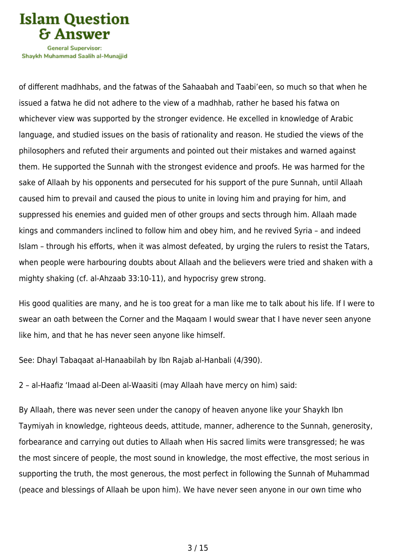

Shavkh Muhammad Saalih al-Munaiiid

of different madhhabs, and the fatwas of the Sahaabah and Taabi'een, so much so that when he issued a fatwa he did not adhere to the view of a madhhab, rather he based his fatwa on whichever view was supported by the stronger evidence. He excelled in knowledge of Arabic language, and studied issues on the basis of rationality and reason. He studied the views of the philosophers and refuted their arguments and pointed out their mistakes and warned against them. He supported the Sunnah with the strongest evidence and proofs. He was harmed for the sake of Allaah by his opponents and persecuted for his support of the pure Sunnah, until Allaah caused him to prevail and caused the pious to unite in loving him and praying for him, and suppressed his enemies and guided men of other groups and sects through him. Allaah made kings and commanders inclined to follow him and obey him, and he revived Syria – and indeed Islam – through his efforts, when it was almost defeated, by urging the rulers to resist the Tatars, when people were harbouring doubts about Allaah and the believers were tried and shaken with a mighty shaking (cf. al-Ahzaab 33:10-11), and hypocrisy grew strong.

His good qualities are many, and he is too great for a man like me to talk about his life. If I were to swear an oath between the Corner and the Maqaam I would swear that I have never seen anyone like him, and that he has never seen anyone like himself.

See: Dhayl Tabaqaat al-Hanaabilah by Ibn Rajab al-Hanbali (4/390).

2 – al-Haafiz 'Imaad al-Deen al-Waasiti (may Allaah have mercy on him) said:

By Allaah, there was never seen under the canopy of heaven anyone like your Shaykh Ibn Taymiyah in knowledge, righteous deeds, attitude, manner, adherence to the Sunnah, generosity, forbearance and carrying out duties to Allaah when His sacred limits were transgressed; he was the most sincere of people, the most sound in knowledge, the most effective, the most serious in supporting the truth, the most generous, the most perfect in following the Sunnah of Muhammad (peace and blessings of Allaah be upon him). We have never seen anyone in our own time who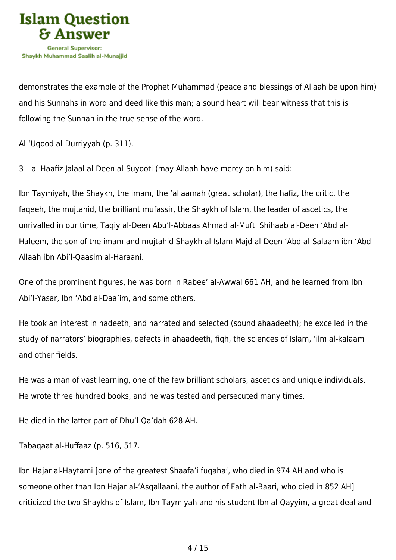

demonstrates the example of the Prophet Muhammad (peace and blessings of Allaah be upon him) and his Sunnahs in word and deed like this man; a sound heart will bear witness that this is following the Sunnah in the true sense of the word.

Al-'Uqood al-Durriyyah (p. 311).

3 – al-Haafiz Jalaal al-Deen al-Suyooti (may Allaah have mercy on him) said:

Ibn Taymiyah, the Shaykh, the imam, the 'allaamah (great scholar), the hafiz, the critic, the faqeeh, the mujtahid, the brilliant mufassir, the Shaykh of Islam, the leader of ascetics, the unrivalled in our time, Taqiy al-Deen Abu'l-Abbaas Ahmad al-Mufti Shihaab al-Deen 'Abd al-Haleem, the son of the imam and mujtahid Shaykh al-Islam Majd al-Deen 'Abd al-Salaam ibn 'Abd-Allaah ibn Abi'l-Qaasim al-Haraani.

One of the prominent figures, he was born in Rabee' al-Awwal 661 AH, and he learned from Ibn Abi'l-Yasar, Ibn 'Abd al-Daa'im, and some others.

He took an interest in hadeeth, and narrated and selected (sound ahaadeeth); he excelled in the study of narrators' biographies, defects in ahaadeeth, fiqh, the sciences of Islam, 'ilm al-kalaam and other fields.

He was a man of vast learning, one of the few brilliant scholars, ascetics and unique individuals. He wrote three hundred books, and he was tested and persecuted many times.

He died in the latter part of Dhu'l-Qa'dah 628 AH.

Tabaqaat al-Huffaaz (p. 516, 517.

Ibn Hajar al-Haytami [one of the greatest Shaafa'i fuqaha', who died in 974 AH and who is someone other than Ibn Hajar al-'Asqallaani, the author of Fath al-Baari, who died in 852 AH] criticized the two Shaykhs of Islam, Ibn Taymiyah and his student Ibn al-Qayyim, a great deal and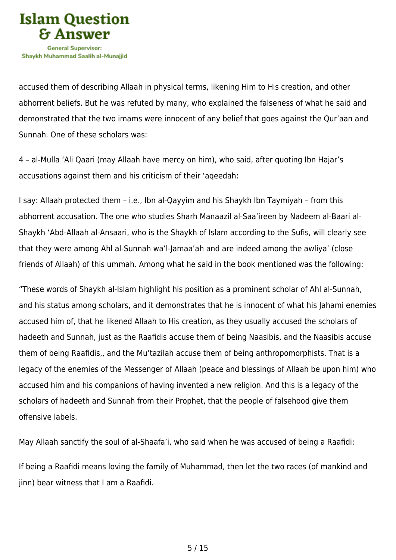

accused them of describing Allaah in physical terms, likening Him to His creation, and other abhorrent beliefs. But he was refuted by many, who explained the falseness of what he said and demonstrated that the two imams were innocent of any belief that goes against the Qur'aan and Sunnah. One of these scholars was:

4 – al-Mulla 'Ali Qaari (may Allaah have mercy on him), who said, after quoting Ibn Hajar's accusations against them and his criticism of their 'aqeedah:

I say: Allaah protected them – i.e., Ibn al-Qayyim and his Shaykh Ibn Taymiyah – from this abhorrent accusation. The one who studies Sharh Manaazil al-Saa'ireen by Nadeem al-Baari al-Shaykh 'Abd-Allaah al-Ansaari, who is the Shaykh of Islam according to the Sufis, will clearly see that they were among Ahl al-Sunnah wa'l-Jamaa'ah and are indeed among the awliya' (close friends of Allaah) of this ummah. Among what he said in the book mentioned was the following:

"These words of Shaykh al-Islam highlight his position as a prominent scholar of Ahl al-Sunnah, and his status among scholars, and it demonstrates that he is innocent of what his Jahami enemies accused him of, that he likened Allaah to His creation, as they usually accused the scholars of hadeeth and Sunnah, just as the Raafidis accuse them of being Naasibis, and the Naasibis accuse them of being Raafidis,, and the Mu'tazilah accuse them of being anthropomorphists. That is a legacy of the enemies of the Messenger of Allaah (peace and blessings of Allaah be upon him) who accused him and his companions of having invented a new religion. And this is a legacy of the scholars of hadeeth and Sunnah from their Prophet, that the people of falsehood give them offensive labels.

May Allaah sanctify the soul of al-Shaafa'i, who said when he was accused of being a Raafidi:

If being a Raafidi means loving the family of Muhammad, then let the two races (of mankind and jinn) bear witness that I am a Raafidi.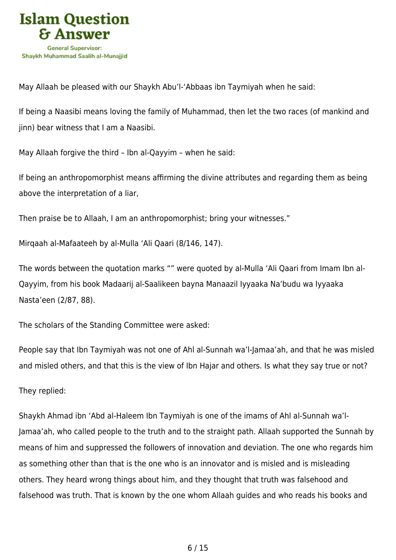

May Allaah be pleased with our Shaykh Abu'l-'Abbaas ibn Taymiyah when he said:

If being a Naasibi means loving the family of Muhammad, then let the two races (of mankind and jinn) bear witness that I am a Naasibi.

May Allaah forgive the third – Ibn al-Qayyim – when he said:

If being an anthropomorphist means affirming the divine attributes and regarding them as being above the interpretation of a liar,

Then praise be to Allaah, I am an anthropomorphist; bring your witnesses."

Mirqaah al-Mafaateeh by al-Mulla 'Ali Qaari (8/146, 147).

The words between the quotation marks "" were quoted by al-Mulla 'Ali Qaari from Imam Ibn al-Qayyim, from his book Madaarij al-Saalikeen bayna Manaazil Iyyaaka Na'budu wa Iyyaaka Nasta'een (2/87, 88).

The scholars of the Standing Committee were asked:

People say that Ibn Taymiyah was not one of Ahl al-Sunnah wa'l-Jamaa'ah, and that he was misled and misled others, and that this is the view of Ibn Hajar and others. Is what they say true or not?

They replied:

Shaykh Ahmad ibn 'Abd al-Haleem Ibn Taymiyah is one of the imams of Ahl al-Sunnah wa'l-Jamaa'ah, who called people to the truth and to the straight path. Allaah supported the Sunnah by means of him and suppressed the followers of innovation and deviation. The one who regards him as something other than that is the one who is an innovator and is misled and is misleading others. They heard wrong things about him, and they thought that truth was falsehood and falsehood was truth. That is known by the one whom Allaah guides and who reads his books and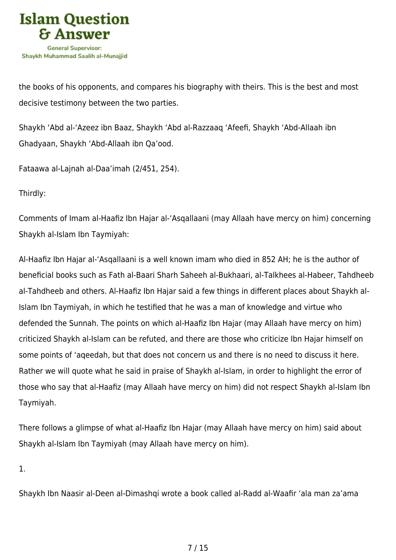

the books of his opponents, and compares his biography with theirs. This is the best and most decisive testimony between the two parties.

Shaykh 'Abd al-'Azeez ibn Baaz, Shaykh 'Abd al-Razzaaq 'Afeefi, Shaykh 'Abd-Allaah ibn Ghadyaan, Shaykh 'Abd-Allaah ibn Qa'ood.

Fataawa al-Lajnah al-Daa'imah (2/451, 254).

Thirdly:

Comments of Imam al-Haafiz Ibn Hajar al-'Asqallaani (may Allaah have mercy on him) concerning Shaykh al-Islam Ibn Taymiyah:

Al-Haafiz Ibn Hajar al-'Asqallaani is a well known imam who died in 852 AH; he is the author of beneficial books such as Fath al-Baari Sharh Saheeh al-Bukhaari, al-Talkhees al-Habeer, Tahdheeb al-Tahdheeb and others. Al-Haafiz Ibn Hajar said a few things in different places about Shaykh al-Islam Ibn Taymiyah, in which he testified that he was a man of knowledge and virtue who defended the Sunnah. The points on which al-Haafiz Ibn Hajar (may Allaah have mercy on him) criticized Shaykh al-Islam can be refuted, and there are those who criticize Ibn Hajar himself on some points of 'aqeedah, but that does not concern us and there is no need to discuss it here. Rather we will quote what he said in praise of Shaykh al-Islam, in order to highlight the error of those who say that al-Haafiz (may Allaah have mercy on him) did not respect Shaykh al-Islam Ibn Taymiyah.

There follows a glimpse of what al-Haafiz Ibn Hajar (may Allaah have mercy on him) said about Shaykh al-Islam Ibn Taymiyah (may Allaah have mercy on him).

1.

Shaykh Ibn Naasir al-Deen al-Dimashqi wrote a book called al-Radd al-Waafir 'ala man za'ama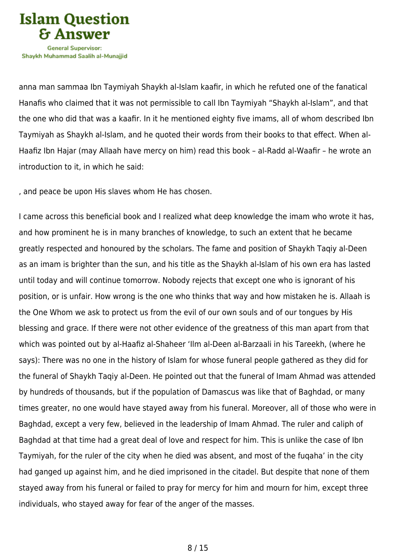

anna man sammaa Ibn Taymiyah Shaykh al-Islam kaafir, in which he refuted one of the fanatical Hanafis who claimed that it was not permissible to call Ibn Taymiyah "Shaykh al-Islam", and that the one who did that was a kaafir. In it he mentioned eighty five imams, all of whom described Ibn Taymiyah as Shaykh al-Islam, and he quoted their words from their books to that effect. When al-Haafiz Ibn Hajar (may Allaah have mercy on him) read this book – al-Radd al-Waafir – he wrote an introduction to it, in which he said:

, and peace be upon His slaves whom He has chosen.

I came across this beneficial book and I realized what deep knowledge the imam who wrote it has, and how prominent he is in many branches of knowledge, to such an extent that he became greatly respected and honoured by the scholars. The fame and position of Shaykh Taqiy al-Deen as an imam is brighter than the sun, and his title as the Shaykh al-Islam of his own era has lasted until today and will continue tomorrow. Nobody rejects that except one who is ignorant of his position, or is unfair. How wrong is the one who thinks that way and how mistaken he is. Allaah is the One Whom we ask to protect us from the evil of our own souls and of our tongues by His blessing and grace. If there were not other evidence of the greatness of this man apart from that which was pointed out by al-Haafiz al-Shaheer 'Ilm al-Deen al-Barzaali in his Tareekh, (where he says): There was no one in the history of Islam for whose funeral people gathered as they did for the funeral of Shaykh Taqiy al-Deen. He pointed out that the funeral of Imam Ahmad was attended by hundreds of thousands, but if the population of Damascus was like that of Baghdad, or many times greater, no one would have stayed away from his funeral. Moreover, all of those who were in Baghdad, except a very few, believed in the leadership of Imam Ahmad. The ruler and caliph of Baghdad at that time had a great deal of love and respect for him. This is unlike the case of Ibn Taymiyah, for the ruler of the city when he died was absent, and most of the fuqaha' in the city had ganged up against him, and he died imprisoned in the citadel. But despite that none of them stayed away from his funeral or failed to pray for mercy for him and mourn for him, except three individuals, who stayed away for fear of the anger of the masses.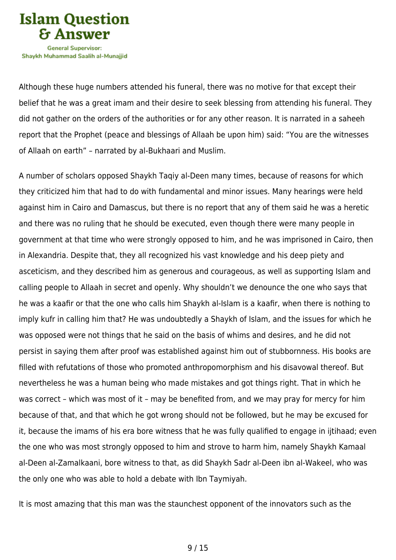

Although these huge numbers attended his funeral, there was no motive for that except their belief that he was a great imam and their desire to seek blessing from attending his funeral. They did not gather on the orders of the authorities or for any other reason. It is narrated in a saheeh report that the Prophet (peace and blessings of Allaah be upon him) said: "You are the witnesses of Allaah on earth" – narrated by al-Bukhaari and Muslim.

A number of scholars opposed Shaykh Taqiy al-Deen many times, because of reasons for which they criticized him that had to do with fundamental and minor issues. Many hearings were held against him in Cairo and Damascus, but there is no report that any of them said he was a heretic and there was no ruling that he should be executed, even though there were many people in government at that time who were strongly opposed to him, and he was imprisoned in Cairo, then in Alexandria. Despite that, they all recognized his vast knowledge and his deep piety and asceticism, and they described him as generous and courageous, as well as supporting Islam and calling people to Allaah in secret and openly. Why shouldn't we denounce the one who says that he was a kaafir or that the one who calls him Shaykh al-Islam is a kaafir, when there is nothing to imply kufr in calling him that? He was undoubtedly a Shaykh of Islam, and the issues for which he was opposed were not things that he said on the basis of whims and desires, and he did not persist in saying them after proof was established against him out of stubbornness. His books are filled with refutations of those who promoted anthropomorphism and his disavowal thereof. But nevertheless he was a human being who made mistakes and got things right. That in which he was correct – which was most of it – may be benefited from, and we may pray for mercy for him because of that, and that which he got wrong should not be followed, but he may be excused for it, because the imams of his era bore witness that he was fully qualified to engage in ijtihaad; even the one who was most strongly opposed to him and strove to harm him, namely Shaykh Kamaal al-Deen al-Zamalkaani, bore witness to that, as did Shaykh Sadr al-Deen ibn al-Wakeel, who was the only one who was able to hold a debate with Ibn Taymiyah.

It is most amazing that this man was the staunchest opponent of the innovators such as the

9 / 15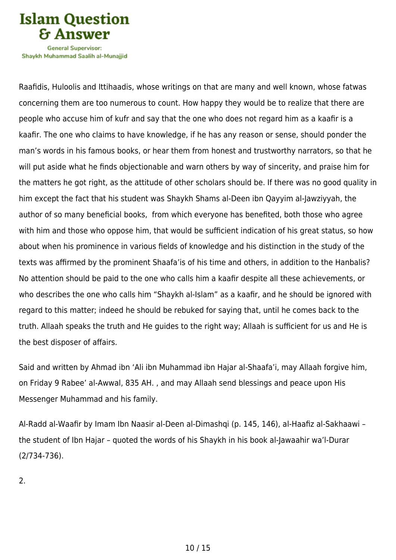

Shavkh Muhammad Saalih al-Munaiiid

Raafidis, Huloolis and Ittihaadis, whose writings on that are many and well known, whose fatwas concerning them are too numerous to count. How happy they would be to realize that there are people who accuse him of kufr and say that the one who does not regard him as a kaafir is a kaafir. The one who claims to have knowledge, if he has any reason or sense, should ponder the man's words in his famous books, or hear them from honest and trustworthy narrators, so that he will put aside what he finds objectionable and warn others by way of sincerity, and praise him for the matters he got right, as the attitude of other scholars should be. If there was no good quality in him except the fact that his student was Shaykh Shams al-Deen ibn Qayyim al-Jawziyyah, the author of so many beneficial books, from which everyone has benefited, both those who agree with him and those who oppose him, that would be sufficient indication of his great status, so how about when his prominence in various fields of knowledge and his distinction in the study of the texts was affirmed by the prominent Shaafa'is of his time and others, in addition to the Hanbalis? No attention should be paid to the one who calls him a kaafir despite all these achievements, or who describes the one who calls him "Shaykh al-Islam" as a kaafir, and he should be ignored with regard to this matter; indeed he should be rebuked for saying that, until he comes back to the truth. Allaah speaks the truth and He guides to the right way; Allaah is sufficient for us and He is the best disposer of affairs.

Said and written by Ahmad ibn 'Ali ibn Muhammad ibn Hajar al-Shaafa'i, may Allaah forgive him, on Friday 9 Rabee' al-Awwal, 835 AH. , and may Allaah send blessings and peace upon His Messenger Muhammad and his family.

Al-Radd al-Waafir by Imam Ibn Naasir al-Deen al-Dimashqi (p. 145, 146), al-Haafiz al-Sakhaawi – the student of Ibn Hajar – quoted the words of his Shaykh in his book al-Jawaahir wa'l-Durar (2/734-736).

2.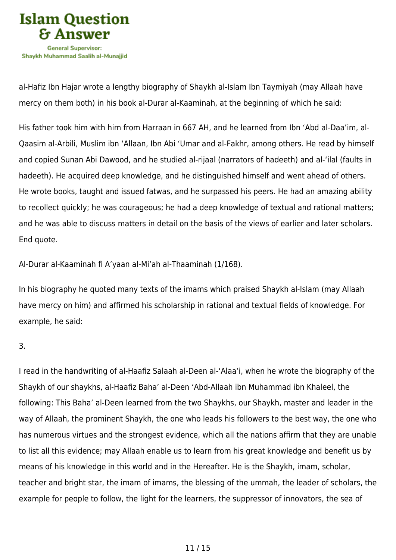

al-Hafiz Ibn Hajar wrote a lengthy biography of Shaykh al-Islam Ibn Taymiyah (may Allaah have mercy on them both) in his book al-Durar al-Kaaminah, at the beginning of which he said:

His father took him with him from Harraan in 667 AH, and he learned from Ibn 'Abd al-Daa'im, al-Qaasim al-Arbili, Muslim ibn 'Allaan, Ibn Abi 'Umar and al-Fakhr, among others. He read by himself and copied Sunan Abi Dawood, and he studied al-rijaal (narrators of hadeeth) and al-'ilal (faults in hadeeth). He acquired deep knowledge, and he distinguished himself and went ahead of others. He wrote books, taught and issued fatwas, and he surpassed his peers. He had an amazing ability to recollect quickly; he was courageous; he had a deep knowledge of textual and rational matters; and he was able to discuss matters in detail on the basis of the views of earlier and later scholars. End quote.

Al-Durar al-Kaaminah fi A'yaan al-Mi'ah al-Thaaminah (1/168).

In his biography he quoted many texts of the imams which praised Shaykh al-Islam (may Allaah have mercy on him) and affirmed his scholarship in rational and textual fields of knowledge. For example, he said:

3.

I read in the handwriting of al-Haafiz Salaah al-Deen al-'Alaa'i, when he wrote the biography of the Shaykh of our shaykhs, al-Haafiz Baha' al-Deen 'Abd-Allaah ibn Muhammad ibn Khaleel, the following: This Baha' al-Deen learned from the two Shaykhs, our Shaykh, master and leader in the way of Allaah, the prominent Shaykh, the one who leads his followers to the best way, the one who has numerous virtues and the strongest evidence, which all the nations affirm that they are unable to list all this evidence; may Allaah enable us to learn from his great knowledge and benefit us by means of his knowledge in this world and in the Hereafter. He is the Shaykh, imam, scholar, teacher and bright star, the imam of imams, the blessing of the ummah, the leader of scholars, the example for people to follow, the light for the learners, the suppressor of innovators, the sea of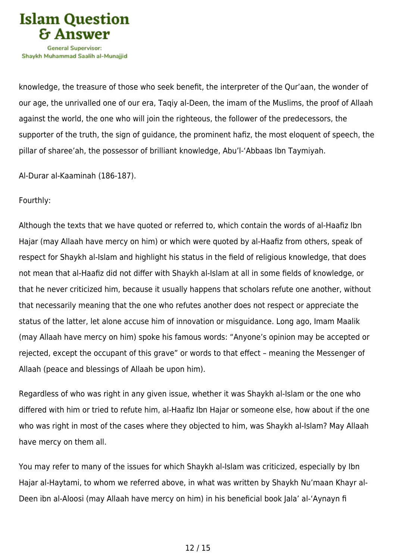

knowledge, the treasure of those who seek benefit, the interpreter of the Qur'aan, the wonder of our age, the unrivalled one of our era, Taqiy al-Deen, the imam of the Muslims, the proof of Allaah against the world, the one who will join the righteous, the follower of the predecessors, the supporter of the truth, the sign of guidance, the prominent hafiz, the most eloquent of speech, the pillar of sharee'ah, the possessor of brilliant knowledge, Abu'l-'Abbaas Ibn Taymiyah.

Al-Durar al-Kaaminah (186-187).

#### Fourthly:

Although the texts that we have quoted or referred to, which contain the words of al-Haafiz Ibn Hajar (may Allaah have mercy on him) or which were quoted by al-Haafiz from others, speak of respect for Shaykh al-Islam and highlight his status in the field of religious knowledge, that does not mean that al-Haafiz did not differ with Shaykh al-Islam at all in some fields of knowledge, or that he never criticized him, because it usually happens that scholars refute one another, without that necessarily meaning that the one who refutes another does not respect or appreciate the status of the latter, let alone accuse him of innovation or misguidance. Long ago, Imam Maalik (may Allaah have mercy on him) spoke his famous words: "Anyone's opinion may be accepted or rejected, except the occupant of this grave" or words to that effect – meaning the Messenger of Allaah (peace and blessings of Allaah be upon him).

Regardless of who was right in any given issue, whether it was Shaykh al-Islam or the one who differed with him or tried to refute him, al-Haafiz Ibn Hajar or someone else, how about if the one who was right in most of the cases where they objected to him, was Shaykh al-Islam? May Allaah have mercy on them all.

You may refer to many of the issues for which Shaykh al-Islam was criticized, especially by Ibn Hajar al-Haytami, to whom we referred above, in what was written by Shaykh Nu'maan Khayr al-Deen ibn al-Aloosi (may Allaah have mercy on him) in his beneficial book Jala' al-'Aynayn fi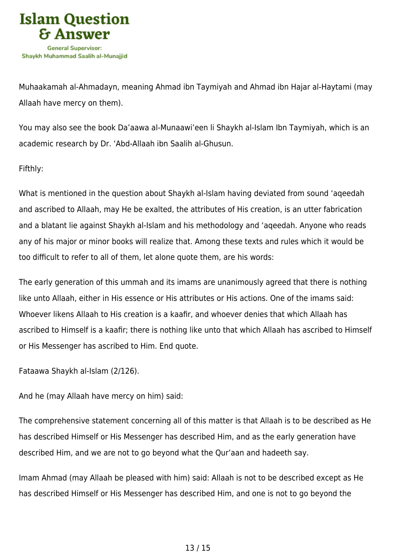

Muhaakamah al-Ahmadayn, meaning Ahmad ibn Taymiyah and Ahmad ibn Hajar al-Haytami (may Allaah have mercy on them).

You may also see the book Da'aawa al-Munaawi'een li Shaykh al-Islam Ibn Taymiyah, which is an academic research by Dr. 'Abd-Allaah ibn Saalih al-Ghusun.

Fifthly:

What is mentioned in the question about Shaykh al-Islam having deviated from sound 'aqeedah and ascribed to Allaah, may He be exalted, the attributes of His creation, is an utter fabrication and a blatant lie against Shaykh al-Islam and his methodology and 'aqeedah. Anyone who reads any of his major or minor books will realize that. Among these texts and rules which it would be too difficult to refer to all of them, let alone quote them, are his words:

The early generation of this ummah and its imams are unanimously agreed that there is nothing like unto Allaah, either in His essence or His attributes or His actions. One of the imams said: Whoever likens Allaah to His creation is a kaafir, and whoever denies that which Allaah has ascribed to Himself is a kaafir; there is nothing like unto that which Allaah has ascribed to Himself or His Messenger has ascribed to Him. End quote.

Fataawa Shaykh al-Islam (2/126).

And he (may Allaah have mercy on him) said:

The comprehensive statement concerning all of this matter is that Allaah is to be described as He has described Himself or His Messenger has described Him, and as the early generation have described Him, and we are not to go beyond what the Qur'aan and hadeeth say.

Imam Ahmad (may Allaah be pleased with him) said: Allaah is not to be described except as He has described Himself or His Messenger has described Him, and one is not to go beyond the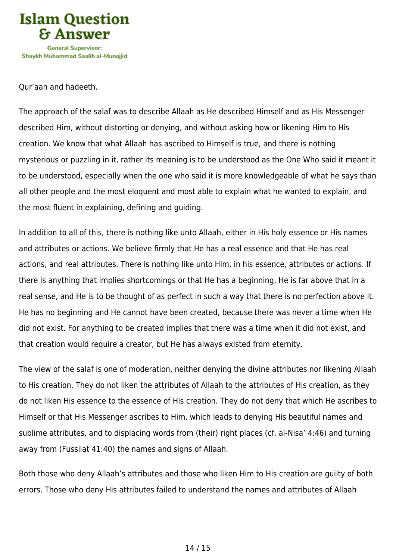

Qur'aan and hadeeth.

The approach of the salaf was to describe Allaah as He described Himself and as His Messenger described Him, without distorting or denying, and without asking how or likening Him to His creation. We know that what Allaah has ascribed to Himself is true, and there is nothing mysterious or puzzling in it, rather its meaning is to be understood as the One Who said it meant it to be understood, especially when the one who said it is more knowledgeable of what he says than all other people and the most eloquent and most able to explain what he wanted to explain, and the most fluent in explaining, defining and guiding.

In addition to all of this, there is nothing like unto Allaah, either in His holy essence or His names and attributes or actions. We believe firmly that He has a real essence and that He has real actions, and real attributes. There is nothing like unto Him, in his essence, attributes or actions. If there is anything that implies shortcomings or that He has a beginning, He is far above that in a real sense, and He is to be thought of as perfect in such a way that there is no perfection above it. He has no beginning and He cannot have been created, because there was never a time when He did not exist. For anything to be created implies that there was a time when it did not exist, and that creation would require a creator, but He has always existed from eternity.

The view of the salaf is one of moderation, neither denying the divine attributes nor likening Allaah to His creation. They do not liken the attributes of Allaah to the attributes of His creation, as they do not liken His essence to the essence of His creation. They do not deny that which He ascribes to Himself or that His Messenger ascribes to Him, which leads to denying His beautiful names and sublime attributes, and to displacing words from (their) right places (cf. al-Nisa' 4:46) and turning away from (Fussilat 41:40) the names and signs of Allaah.

Both those who deny Allaah's attributes and those who liken Him to His creation are guilty of both errors. Those who deny His attributes failed to understand the names and attributes of Allaah